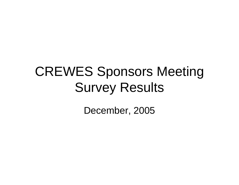## CREWES Sponsors Meeting Survey Results

December, 2005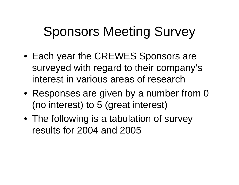## Sponsors Meeting Survey

- Each year the CREWES Sponsors are surveyed with regard to their company's interest in various areas of research
- Responses are given by a number from 0 (no interest) to 5 (great interest)
- The following is a tabulation of survey results for 2004 and 2005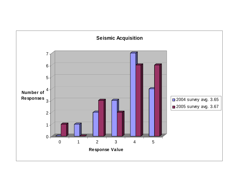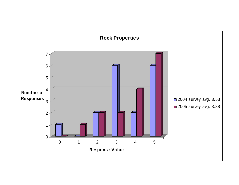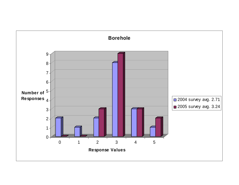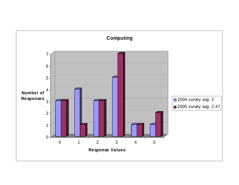![](_page_5_Figure_0.jpeg)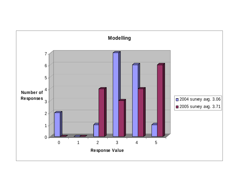![](_page_6_Figure_0.jpeg)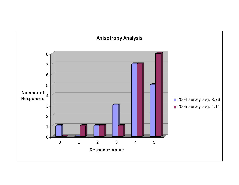![](_page_7_Figure_0.jpeg)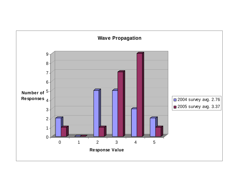![](_page_8_Figure_0.jpeg)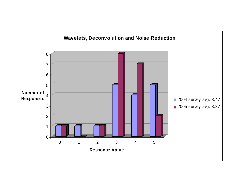![](_page_9_Figure_0.jpeg)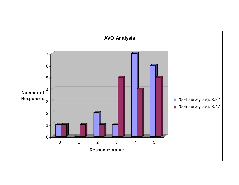![](_page_10_Figure_0.jpeg)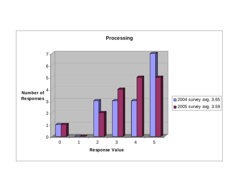![](_page_11_Figure_0.jpeg)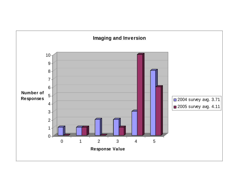![](_page_12_Figure_0.jpeg)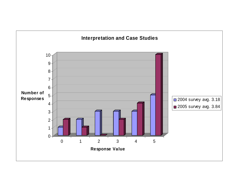![](_page_13_Figure_0.jpeg)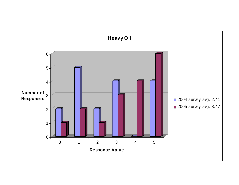![](_page_14_Figure_0.jpeg)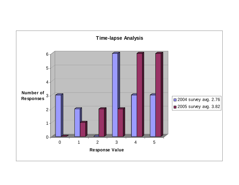![](_page_15_Figure_0.jpeg)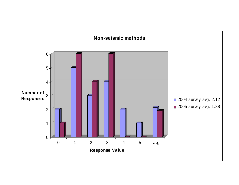![](_page_16_Figure_0.jpeg)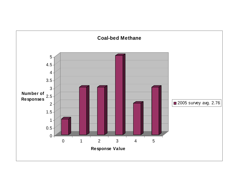![](_page_17_Figure_0.jpeg)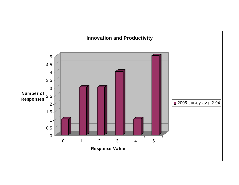![](_page_18_Figure_0.jpeg)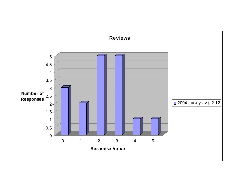![](_page_19_Figure_0.jpeg)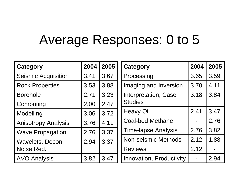## Average Responses: 0 to 5

| <b>Category</b>            | 2004 | 2005 | <b>Category</b>            | 2004           | 2005 |
|----------------------------|------|------|----------------------------|----------------|------|
| <b>Seismic Acquisition</b> | 3.41 | 3.67 | Processing                 | 3.65           | 3.59 |
| <b>Rock Properties</b>     | 3.53 | 3.88 | Imaging and Inversion      | 3.70           | 4.11 |
| <b>Borehole</b>            | 2.71 | 3.23 | Interpretation, Case       | 3.18           | 3.84 |
| Computing                  | 2.00 | 2.47 | <b>Studies</b>             |                |      |
| Modelling                  | 3.06 | 3.72 | <b>Heavy Oil</b>           | 2.41           | 3.47 |
| <b>Anisotropy Analysis</b> | 3.76 | 4.11 | <b>Coal-bed Methane</b>    | $\blacksquare$ | 2.76 |
| <b>Wave Propagation</b>    | 2.76 | 3.37 | <b>Time-lapse Analysis</b> | 2.76           | 3.82 |
| Wavelets, Decon,           | 2.94 | 3.37 | <b>Non-seismic Methods</b> | 2.12           | 1.88 |
| Noise Red.                 |      |      | <b>Reviews</b>             | 2.12           |      |
| <b>AVO Analysis</b>        | 3.82 | 3.47 | Innovation, Productivity   |                | 2.94 |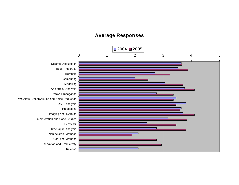![](_page_21_Figure_0.jpeg)